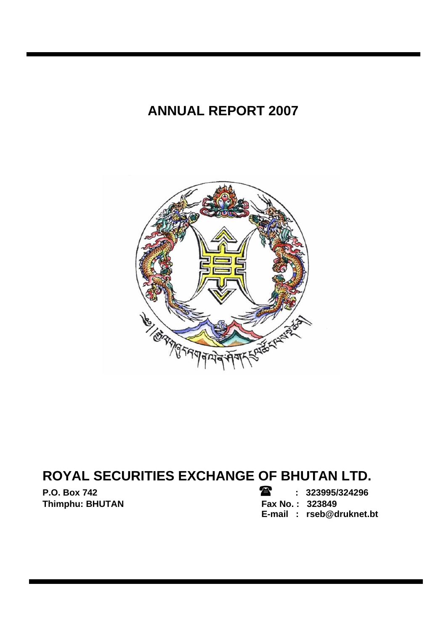# **ANNUAL REPORT 2007**



# **ROYAL SECURITIES EXCHANGE OF BHUTAN LTD.**

**Thimphu: BHUTAN** 

**P.O. Box 742 : 323995/324296 E-mail : rseb@druknet.bt**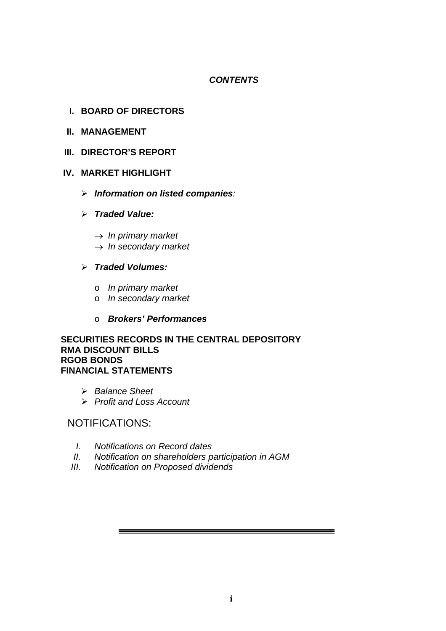# *CONTENTS*

# **I. BOARD OF DIRECTORS**

- **II. MANAGEMENT**
- **III. DIRECTOR'S REPORT**

### **IV. MARKET HIGHLIGHT**

- ¾ *Information on listed companies:*
- ¾ *Traded Value:* 
	- → *In primary market*
	- → *In secondary market*

# ¾ *Traded Volumes:*

- o *In primary market*
- o *In secondary market*
- o *Brokers' Performances*

#### **SECURITIES RECORDS IN THE CENTRAL DEPOSITORY RMA DISCOUNT BILLS RGOB BONDS FINANCIAL STATEMENTS**

- ¾ *Balance Sheet*
- ¾ *Profit and Loss Account*

# NOTIFICATIONS:

- *I. Notifications on Record dates*
- *II. Notification on shareholders participation in AGM*
- *III. Notification on Proposed dividends*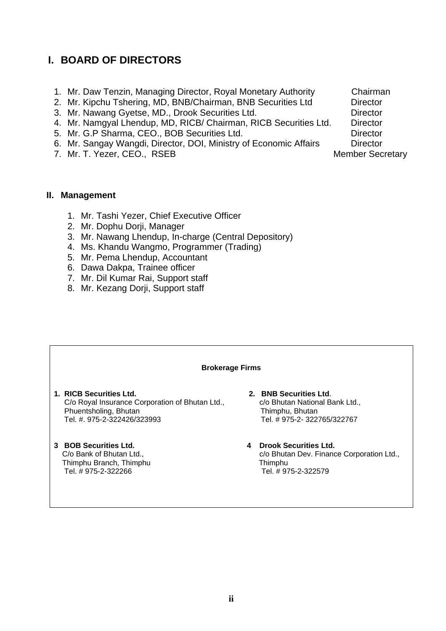# **I. BOARD OF DIRECTORS**

- 1. Mr. Daw Tenzin, Managing Director, Royal Monetary Authority Chairman
- 2. Mr. Kipchu Tshering, MD, BNB/Chairman, BNB Securities Ltd Director
- 3. Mr. Nawang Gyetse, MD., Drook Securities Ltd. Director
- 4. Mr. Namgyal Lhendup, MD, RICB/ Chairman, RICB Securities Ltd. Director
- 5. Mr. G.P Sharma, CEO., BOB Securities Ltd. Director
- 6. Mr. Sangay Wangdi, Director, DOI, Ministry of Economic Affairs Director
- 7. Mr. T. Yezer, CEO., RSEB Member Secretary

#### **II. Management**

- 1. Mr. Tashi Yezer, Chief Executive Officer
- 2. Mr. Dophu Dorii, Manager
- 3. Mr. Nawang Lhendup, In-charge (Central Depository)
- 4. Ms. Khandu Wangmo, Programmer (Trading)
- 5. Mr. Pema Lhendup, Accountant
- 6. Dawa Dakpa, Trainee officer
- 7. Mr. Dil Kumar Rai, Support staff
- 8. Mr. Kezang Dorji, Support staff

| <b>Brokerage Firms</b>                                                                                                            |                                                                                                                 |  |  |  |  |  |  |  |  |  |  |
|-----------------------------------------------------------------------------------------------------------------------------------|-----------------------------------------------------------------------------------------------------------------|--|--|--|--|--|--|--|--|--|--|
| 1. RICB Securities Ltd.<br>C/o Royal Insurance Corporation of Bhutan Ltd.,<br>Phuentsholing, Bhutan<br>Tel. # 975-2-322426/323993 | 2. BNB Securities Ltd.<br>c/o Bhutan National Bank Ltd.,<br>Thimphu, Bhutan<br>Tel. # 975-2- 322765/322767      |  |  |  |  |  |  |  |  |  |  |
| 3 BOB Securities Ltd.<br>C/o Bank of Bhutan Ltd.,<br>Thimphu Branch, Thimphu<br>Tel. #975-2-322266                                | <b>Drook Securities Ltd.</b><br>4<br>c/o Bhutan Dev. Finance Corporation Ltd.,<br>Thimphu<br>Tel. #975-2-322579 |  |  |  |  |  |  |  |  |  |  |

- 
- 

- 
-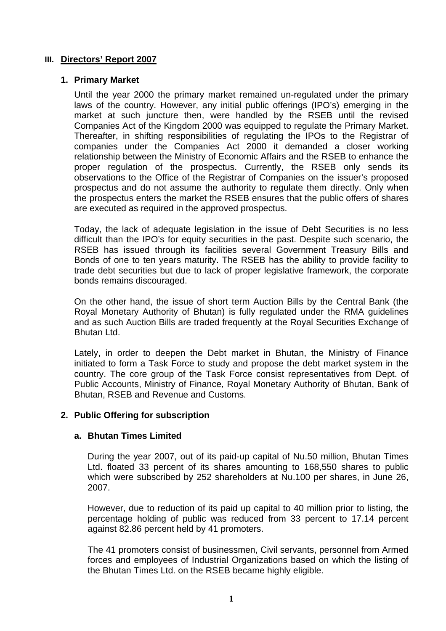## **III. Directors' Report 2007**

#### **1. Primary Market**

Until the year 2000 the primary market remained un-regulated under the primary laws of the country. However, any initial public offerings (IPO's) emerging in the market at such juncture then, were handled by the RSEB until the revised Companies Act of the Kingdom 2000 was equipped to regulate the Primary Market. Thereafter, in shifting responsibilities of regulating the IPOs to the Registrar of companies under the Companies Act 2000 it demanded a closer working relationship between the Ministry of Economic Affairs and the RSEB to enhance the proper regulation of the prospectus. Currently, the RSEB only sends its observations to the Office of the Registrar of Companies on the issuer's proposed prospectus and do not assume the authority to regulate them directly. Only when the prospectus enters the market the RSEB ensures that the public offers of shares are executed as required in the approved prospectus.

Today, the lack of adequate legislation in the issue of Debt Securities is no less difficult than the IPO's for equity securities in the past. Despite such scenario, the RSEB has issued through its facilities several Government Treasury Bills and Bonds of one to ten years maturity. The RSEB has the ability to provide facility to trade debt securities but due to lack of proper legislative framework, the corporate bonds remains discouraged.

On the other hand, the issue of short term Auction Bills by the Central Bank (the Royal Monetary Authority of Bhutan) is fully regulated under the RMA guidelines and as such Auction Bills are traded frequently at the Royal Securities Exchange of Bhutan Ltd.

Lately, in order to deepen the Debt market in Bhutan, the Ministry of Finance initiated to form a Task Force to study and propose the debt market system in the country. The core group of the Task Force consist representatives from Dept. of Public Accounts, Ministry of Finance, Royal Monetary Authority of Bhutan, Bank of Bhutan, RSEB and Revenue and Customs.

### **2. Public Offering for subscription**

### **a. Bhutan Times Limited**

During the year 2007, out of its paid-up capital of Nu.50 million, Bhutan Times Ltd. floated 33 percent of its shares amounting to 168,550 shares to public which were subscribed by 252 shareholders at Nu.100 per shares, in June 26, 2007.

However, due to reduction of its paid up capital to 40 million prior to listing, the percentage holding of public was reduced from 33 percent to 17.14 percent against 82.86 percent held by 41 promoters.

The 41 promoters consist of businessmen, Civil servants, personnel from Armed forces and employees of Industrial Organizations based on which the listing of the Bhutan Times Ltd. on the RSEB became highly eligible.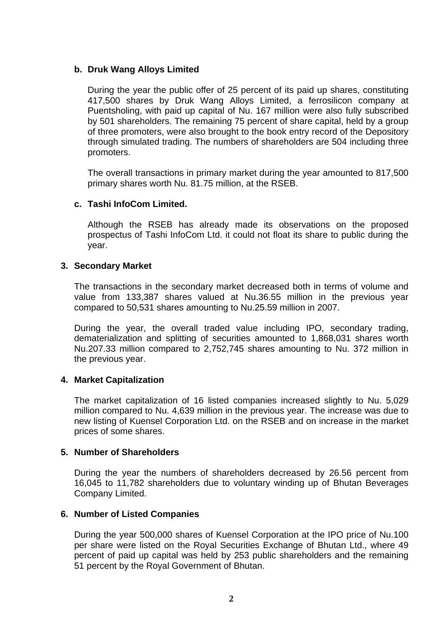# **b. Druk Wang Alloys Limited**

During the year the public offer of 25 percent of its paid up shares, constituting 417,500 shares by Druk Wang Alloys Limited, a ferrosilicon company at Puentsholing, with paid up capital of Nu. 167 million were also fully subscribed by 501 shareholders. The remaining 75 percent of share capital, held by a group of three promoters, were also brought to the book entry record of the Depository through simulated trading. The numbers of shareholders are 504 including three promoters.

The overall transactions in primary market during the year amounted to 817,500 primary shares worth Nu. 81.75 million, at the RSEB.

### **c. Tashi InfoCom Limited.**

Although the RSEB has already made its observations on the proposed prospectus of Tashi InfoCom Ltd. it could not float its share to public during the year.

#### **3. Secondary Market**

The transactions in the secondary market decreased both in terms of volume and value from 133,387 shares valued at Nu.36.55 million in the previous year compared to 50,531 shares amounting to Nu.25.59 million in 2007.

During the year, the overall traded value including IPO, secondary trading, dematerialization and splitting of securities amounted to 1,868,031 shares worth Nu.207.33 million compared to 2,752,745 shares amounting to Nu. 372 million in the previous year.

### **4. Market Capitalization**

The market capitalization of 16 listed companies increased slightly to Nu. 5,029 million compared to Nu. 4,639 million in the previous year. The increase was due to new listing of Kuensel Corporation Ltd. on the RSEB and on increase in the market prices of some shares.

#### **5. Number of Shareholders**

During the year the numbers of shareholders decreased by 26.56 percent from 16,045 to 11,782 shareholders due to voluntary winding up of Bhutan Beverages Company Limited.

#### **6. Number of Listed Companies**

During the year 500,000 shares of Kuensel Corporation at the IPO price of Nu.100 per share were listed on the Royal Securities Exchange of Bhutan Ltd., where 49 percent of paid up capital was held by 253 public shareholders and the remaining 51 percent by the Royal Government of Bhutan.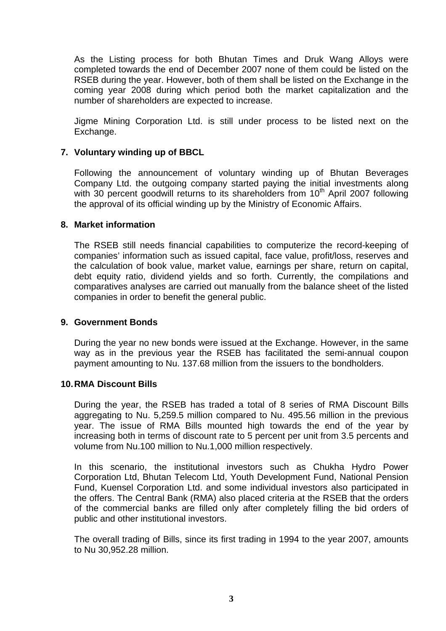As the Listing process for both Bhutan Times and Druk Wang Alloys were completed towards the end of December 2007 none of them could be listed on the RSEB during the year. However, both of them shall be listed on the Exchange in the coming year 2008 during which period both the market capitalization and the number of shareholders are expected to increase.

Jigme Mining Corporation Ltd. is still under process to be listed next on the Exchange.

### **7. Voluntary winding up of BBCL**

Following the announcement of voluntary winding up of Bhutan Beverages Company Ltd. the outgoing company started paying the initial investments along with 30 percent goodwill returns to its shareholders from 10<sup>th</sup> April 2007 following the approval of its official winding up by the Ministry of Economic Affairs.

#### **8. Market information**

The RSEB still needs financial capabilities to computerize the record-keeping of companies' information such as issued capital, face value, profit/loss, reserves and the calculation of book value, market value, earnings per share, return on capital, debt equity ratio, dividend yields and so forth. Currently, the compilations and comparatives analyses are carried out manually from the balance sheet of the listed companies in order to benefit the general public.

#### **9. Government Bonds**

During the year no new bonds were issued at the Exchange. However, in the same way as in the previous year the RSEB has facilitated the semi-annual coupon payment amounting to Nu. 137.68 million from the issuers to the bondholders.

#### **10. RMA Discount Bills**

During the year, the RSEB has traded a total of 8 series of RMA Discount Bills aggregating to Nu. 5,259.5 million compared to Nu. 495.56 million in the previous year. The issue of RMA Bills mounted high towards the end of the year by increasing both in terms of discount rate to 5 percent per unit from 3.5 percents and volume from Nu.100 million to Nu.1,000 million respectively.

In this scenario, the institutional investors such as Chukha Hydro Power Corporation Ltd, Bhutan Telecom Ltd, Youth Development Fund, National Pension Fund, Kuensel Corporation Ltd. and some individual investors also participated in the offers. The Central Bank (RMA) also placed criteria at the RSEB that the orders of the commercial banks are filled only after completely filling the bid orders of public and other institutional investors.

The overall trading of Bills, since its first trading in 1994 to the year 2007, amounts to Nu 30,952.28 million.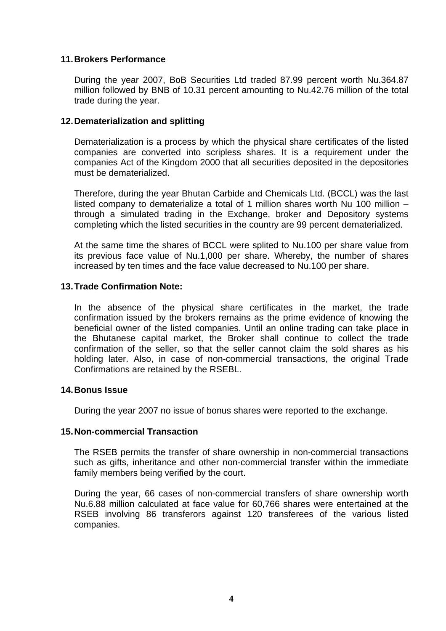#### **11. Brokers Performance**

During the year 2007, BoB Securities Ltd traded 87.99 percent worth Nu.364.87 million followed by BNB of 10.31 percent amounting to Nu.42.76 million of the total trade during the year.

#### **12. Dematerialization and splitting**

Dematerialization is a process by which the physical share certificates of the listed companies are converted into scripless shares. It is a requirement under the companies Act of the Kingdom 2000 that all securities deposited in the depositories must be dematerialized.

Therefore, during the year Bhutan Carbide and Chemicals Ltd. (BCCL) was the last listed company to dematerialize a total of 1 million shares worth Nu 100 million – through a simulated trading in the Exchange, broker and Depository systems completing which the listed securities in the country are 99 percent dematerialized.

At the same time the shares of BCCL were splited to Nu.100 per share value from its previous face value of Nu.1,000 per share. Whereby, the number of shares increased by ten times and the face value decreased to Nu.100 per share.

#### **13. Trade Confirmation Note:**

In the absence of the physical share certificates in the market, the trade confirmation issued by the brokers remains as the prime evidence of knowing the beneficial owner of the listed companies. Until an online trading can take place in the Bhutanese capital market, the Broker shall continue to collect the trade confirmation of the seller, so that the seller cannot claim the sold shares as his holding later. Also, in case of non-commercial transactions, the original Trade Confirmations are retained by the RSEBL.

#### **14. Bonus Issue**

During the year 2007 no issue of bonus shares were reported to the exchange.

#### **15. Non-commercial Transaction**

The RSEB permits the transfer of share ownership in non-commercial transactions such as gifts, inheritance and other non-commercial transfer within the immediate family members being verified by the court.

During the year, 66 cases of non-commercial transfers of share ownership worth Nu.6.88 million calculated at face value for 60,766 shares were entertained at the RSEB involving 86 transferors against 120 transferees of the various listed companies.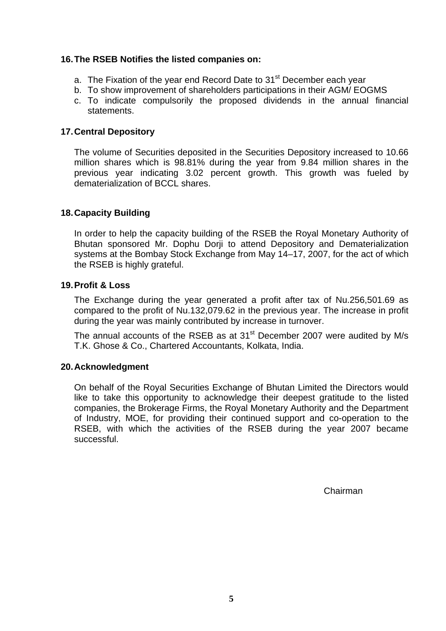## **16. The RSEB Notifies the listed companies on:**

- a. The Fixation of the year end Record Date to 31<sup>st</sup> December each year
- b. To show improvement of shareholders participations in their AGM/ EOGMS
- c. To indicate compulsorily the proposed dividends in the annual financial statements.

## **17. Central Depository**

The volume of Securities deposited in the Securities Depository increased to 10.66 million shares which is 98.81% during the year from 9.84 million shares in the previous year indicating 3.02 percent growth. This growth was fueled by dematerialization of BCCL shares.

# **18. Capacity Building**

In order to help the capacity building of the RSEB the Royal Monetary Authority of Bhutan sponsored Mr. Dophu Dorji to attend Depository and Dematerialization systems at the Bombay Stock Exchange from May 14–17, 2007, for the act of which the RSEB is highly grateful.

# **19. Profit & Loss**

The Exchange during the year generated a profit after tax of Nu.256,501.69 as compared to the profit of Nu.132,079.62 in the previous year. The increase in profit during the year was mainly contributed by increase in turnover.

The annual accounts of the RSEB as at  $31<sup>st</sup>$  December 2007 were audited by M/s T.K. Ghose & Co., Chartered Accountants, Kolkata, India.

### **20. Acknowledgment**

On behalf of the Royal Securities Exchange of Bhutan Limited the Directors would like to take this opportunity to acknowledge their deepest gratitude to the listed companies, the Brokerage Firms, the Royal Monetary Authority and the Department of Industry, MOE, for providing their continued support and co-operation to the RSEB, with which the activities of the RSEB during the year 2007 became successful.

Chairman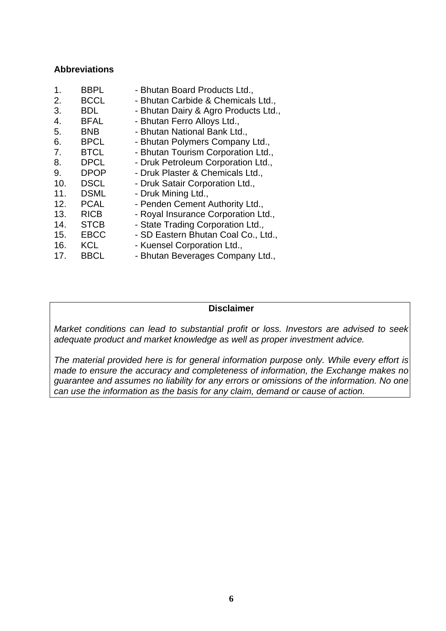#### **Abbreviations**

| 1.  | <b>BBPL</b> | - Bhutan Board Products Ltd.,        |
|-----|-------------|--------------------------------------|
| 2.  | <b>BCCL</b> | - Bhutan Carbide & Chemicals Ltd.,   |
| 3.  | <b>BDL</b>  | - Bhutan Dairy & Agro Products Ltd., |
| 4.  | <b>BFAL</b> | - Bhutan Ferro Alloys Ltd.,          |
| 5.  | <b>BNB</b>  | - Bhutan National Bank Ltd.,         |
| 6.  | <b>BPCL</b> | - Bhutan Polymers Company Ltd.,      |
| 7.  | <b>BTCL</b> | - Bhutan Tourism Corporation Ltd.,   |
| 8.  | <b>DPCL</b> | - Druk Petroleum Corporation Ltd.,   |
| 9.  | <b>DPOP</b> | - Druk Plaster & Chemicals Ltd.,     |
| 10. | <b>DSCL</b> | - Druk Satair Corporation Ltd.,      |
| 11. | <b>DSML</b> | - Druk Mining Ltd.,                  |
| 12. | <b>PCAL</b> | - Penden Cement Authority Ltd.,      |
| 13. | <b>RICB</b> | - Royal Insurance Corporation Ltd.,  |
| 14. | <b>STCB</b> | - State Trading Corporation Ltd.,    |
| 15. | <b>EBCC</b> | - SD Eastern Bhutan Coal Co., Ltd.,  |
| 16. | <b>KCL</b>  | - Kuensel Corporation Ltd.,          |
| 17. | <b>BBCL</b> | - Bhutan Beverages Company Ltd.,     |

#### **Disclaimer**

*Market conditions can lead to substantial profit or loss. Investors are advised to seek adequate product and market knowledge as well as proper investment advice.* 

*The material provided here is for general information purpose only. While every effort is made to ensure the accuracy and completeness of information, the Exchange makes no guarantee and assumes no liability for any errors or omissions of the information. No one can use the information as the basis for any claim, demand or cause of action.*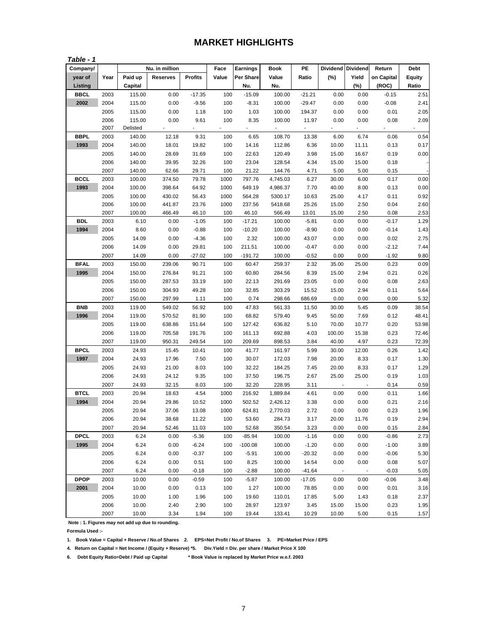# **MARKET HIGHLIGHTS**

| Table - 1   |      |          |                 |                |       |                 |             |                          |          |                 |            |               |
|-------------|------|----------|-----------------|----------------|-------|-----------------|-------------|--------------------------|----------|-----------------|------------|---------------|
| Company/    |      |          | Nu. in million  |                | Face  | <b>Earnings</b> | <b>Book</b> | PE                       | Dividend | <b>Dividend</b> | Return     | Debt          |
| year of     | Year | Paid up  | <b>Reserves</b> | <b>Profits</b> | Value | Per Share       | Value       | Ratio                    | $(\%)$   | Yield           | on Capital | <b>Equity</b> |
| Listing     |      | Capital  |                 |                |       | Nu.             | Nu.         |                          |          | (%)             | (ROC)      | Ratio         |
| <b>BBCL</b> | 2003 | 115.00   | 0.00            | $-17.35$       | 100   | $-15.09$        | 100.00      | $-21.21$                 | 0.00     | 0.00            | $-0.15$    | 2.51          |
| 2002        | 2004 | 115.00   | 0.00            | $-9.56$        | 100   | $-8.31$         | 100.00      | $-29.47$                 | 0.00     | 0.00            | $-0.08$    | 2.41          |
|             | 2005 | 115.00   | 0.00            | 1.18           | 100   | 1.03            | 100.00      | 194.37                   | 0.00     | 0.00            | 0.01       | 2.05          |
|             | 2006 | 115.00   | 0.00            | 9.61           | 100   | 8.35            | 100.00      | 11.97                    | 0.00     | 0.00            | 0.08       | 2.09          |
|             | 2007 | Delisted | ÷,              |                |       | ÷.              | ÷.          | $\overline{\phantom{a}}$ |          | ä,              | ÷,         |               |
| <b>BBPL</b> | 2003 | 140.00   | 12.18           | 9.31           | 100   | 6.65            | 108.70      | 13.38                    | 6.00     | 6.74            | 0.06       | 0.54          |
| 1993        | 2004 | 140.00   | 18.01           | 19.82          | 100   | 14.16           | 112.86      | 6.36                     | 10.00    | 11.11           | 0.13       | 0.17          |
|             | 2005 | 140.00   | 28.69           | 31.69          | 100   | 22.63           | 120.49      | 3.98                     | 15.00    | 16.67           | 0.19       | 0.00          |
|             | 2006 | 140.00   | 39.95           | 32.26          | 100   | 23.04           | 128.54      | 4.34                     | 15.00    | 15.00           | 0.18       |               |
|             | 2007 | 140.00   | 62.66           | 29.71          | 100   | 21.22           | 144.76      | 4.71                     | 5.00     | 5.00            | 0.15       |               |
| <b>BCCL</b> | 2003 | 100.00   | 374.50          | 79.78          | 1000  | 797.76          | 4,745.03    | 6.27                     | 30.00    | 6.00            | 0.17       | 0.00          |
| 1993        | 2004 | 100.00   | 398.64          | 64.92          | 1000  | 649.19          | 4,986.37    | 7.70                     | 40.00    | 8.00            | 0.13       | 0.00          |
|             | 2005 | 100.00   | 430.02          | 56.43          | 1000  | 564.28          | 5300.17     | 10.63                    | 25.00    | 4.17            | 0.11       | 0.92          |
|             | 2006 | 100.00   | 441.87          | 23.76          | 1000  | 237.56          | 5418.68     | 25.26                    | 15.00    | 2.50            | 0.04       | 2.60          |
|             | 2007 | 100.00   | 466.49          | 46.10          | 100   | 46.10           | 566.49      | 13.01                    | 15.00    | 2.50            | 0.08       | 2.53          |
| <b>BDL</b>  | 2003 | 6.10     | 0.00            | $-1.05$        | 100   | -17.21          | 100.00      | $-5.81$                  | 0.00     | 0.00            | $-0.17$    | 1.29          |
| 1994        | 2004 | 8.60     | 0.00            | $-0.88$        | 100   | $-10.20$        | 100.00      | $-8.90$                  | 0.00     | 0.00            | $-0.14$    | 1.43          |
|             | 2005 | 14.09    | 0.00            | $-4.36$        | 100   | 2.32            | 100.00      | 43.07                    | 0.00     | 0.00            | 0.02       | 2.75          |
|             | 2006 | 14.09    | 0.00            | 29.81          | 100   | 211.51          | 100.00      | $-0.47$                  | 0.00     | 0.00            | $-2.12$    | 7.44          |
|             | 2007 | 14.09    | 0.00            | $-27.02$       | 100   | $-191.72$       | 100.00      | $-0.52$                  | 0.00     | 0.00            | $-1.92$    | 9.80          |
| <b>BFAL</b> | 2003 | 150.00   | 239.06          | 90.71          | 100   | 60.47           | 259.37      | 2.32                     | 35.00    | 25.00           | 0.23       | 0.09          |
| 1995        | 2004 | 150.00   | 276.84          | 91.21          | 100   | 60.80           | 284.56      | 8.39                     | 15.00    | 2.94            | 0.21       | 0.26          |
|             | 2005 | 150.00   | 287.53          | 33.19          | 100   | 22.13           | 291.69      | 23.05                    | 0.00     | 0.00            | 0.08       | 2.63          |
|             | 2006 | 150.00   | 304.93          | 49.28          | 100   | 32.85           | 303.29      | 15.52                    | 15.00    | 2.94            | 0.11       | 5.64          |
|             | 2007 | 150.00   | 297.99          | 1.11           | 100   | 0.74            | 298.66      | 686.69                   | 0.00     | 0.00            | 0.00       | 5.32          |
| <b>BNB</b>  | 2003 | 119.00   | 549.02          | 56.92          | 100   | 47.83           | 561.33      | 11.50                    | 30.00    | 5.45            | 0.09       | 38.54         |
| 1996        | 2004 | 119.00   | 570.52          | 81.90          | 100   | 68.82           | 579.40      | 9.45                     | 50.00    | 7.69            | 0.12       | 48.41         |
|             | 2005 | 119.00   | 638.86          | 151.64         | 100   | 127.42          | 636.82      | 5.10                     | 70.00    | 10.77           | 0.20       | 53.98         |
|             | 2006 | 119.00   | 705.58          | 191.76         | 100   | 161.13          | 692.88      | 4.03                     | 100.00   | 15.38           | 0.23       | 72.46         |
|             | 2007 | 119.00   | 950.31          | 249.54         | 100   | 209.69          | 898.53      | 3.84                     | 40.00    | 4.97            | 0.23       | 72.39         |
| <b>BPCL</b> | 2003 | 24.93    | 15.45           | 10.41          | 100   | 41.77           | 161.97      | 5.99                     | 30.00    | 12.00           | 0.26       | 1.42          |
| 1997        | 2004 | 24.93    | 17.96           | 7.50           | 100   | 30.07           | 172.03      | 7.98                     | 20.00    | 8.33            | 0.17       | 1.30          |
|             | 2005 | 24.93    | 21.00           | 8.03           | 100   | 32.22           | 184.25      | 7.45                     | 20.00    | 8.33            | 0.17       | 1.29          |
|             | 2006 | 24.93    | 24.12           | 9.35           | 100   | 37.50           | 196.75      | 2.67                     | 25.00    | 25.00           | 0.19       | 1.03          |
|             | 2007 | 24.93    | 32.15           | 8.03           | 100   | 32.20           | 228.95      | 3.11                     |          |                 | 0.14       | 0.59          |
| <b>BTCL</b> | 2003 | 20.94    | 18.63           | 4.54           | 1000  | 216.92          | 1,889.84    | 4.61                     | 0.00     | 0.00            | 0.11       | 1.66          |
| 1994        | 2004 | 20.94    | 29.86           | 10.52          | 1000  | 502.52          | 2,426.12    | 3.38                     | 0.00     | 0.00            | 0.21       | 2.16          |
|             | 2005 | 20.94    | 37.06           | 13.08          | 1000  | 624.81          | 2,770.03    | 2.72                     | 0.00     | 0.00            | 0.23       | 1.96          |
|             | 2006 | 20.94    | 38.68           | 11.22          | 100   | 53.60           | 284.73      | 3.17                     | 20.00    | 11.76           | 0.19       | 2.94          |
|             | 2007 | 20.94    | 52.46           | 11.03          | 100   | 52.68           | 350.54      | 3.23                     | 0.00     | 0.00            | 0.15       | 2.84          |
| <b>DPCL</b> | 2003 | 6.24     | 0.00            | $-5.36$        | 100   | $-85.94$        | 100.00      | $-1.16$                  | 0.00     | 0.00            | $-0.86$    | 2.73          |
| 1995        | 2004 | 6.24     | 0.00            | $-6.24$        | 100   | $-100.08$       | 100.00      | $-1.20$                  | 0.00     | 0.00            | $-1.00$    | 3.89          |
|             | 2005 | 6.24     | 0.00            | $-0.37$        | 100   | $-5.91$         | 100.00      | $-20.32$                 | 0.00     | 0.00            | $-0.06$    | 5.30          |
|             | 2006 | 6.24     | 0.00            | 0.51           | 100   | 8.25            | 100.00      | 14.54                    | 0.00     | 0.00            | 0.08       | 5.07          |
|             | 2007 | 6.24     | 0.00            | $-0.18$        | 100   | $-2.88$         | 100.00      | $-41.64$                 |          |                 | $-0.03$    | 5.05          |
| <b>DPOP</b> | 2003 | 10.00    | 0.00            | $-0.59$        | 100   | $-5.87$         | 100.00      | $-17.05$                 | 0.00     | 0.00            | $-0.06$    | 3.48          |
| 2001        | 2004 | 10.00    | 0.00            | 0.13           | 100   | 1.27            | 100.00      | 78.85                    | 0.00     | 0.00            | 0.01       | 3.16          |
|             | 2005 | 10.00    | 1.00            | 1.96           | 100   | 19.60           | 110.01      | 17.85                    | 5.00     | 1.43            | 0.18       | 2.37          |
|             | 2006 | 10.00    | 2.40            | 2.90           | 100   | 28.97           | 123.97      | 3.45                     | 15.00    | 15.00           | 0.23       | 1.95          |
|             | 2007 | 10.00    | 3.34            | 1.94           | 100   | 19.44           | 133.41      | 10.29                    | 10.00    | 5.00            | 0.15       | 1.57          |

 **Note : 1. Figures may not add up due to rounding. Formula Used :-**

**1. Book Value = Capital + Reserve / No.of Shares 2. EPS=Net Profit / No.of Shares 3. PE=Market Price / EPS** 

**4. Return on Capital = Net Income / (Equity + Reserve) \*5. Div.Yield = Div. per share / Market Price X 100** 

**6. Debt Equity Ratio=Debt / Paid up Capital \* Book Value is replaced by Market Price w.e.f. 2003**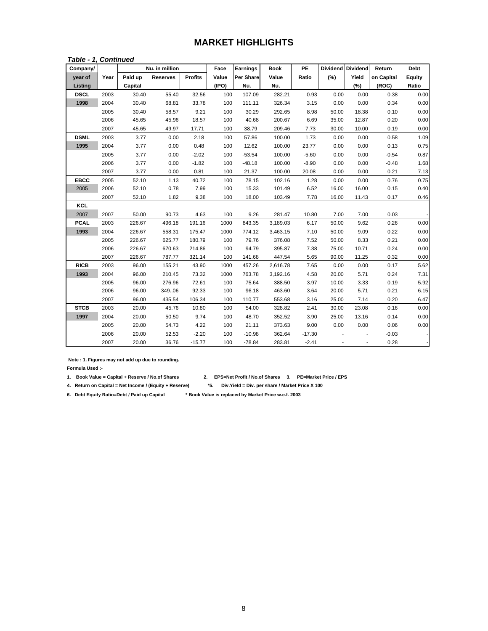# **MARKET HIGHLIGHTS**

#### *Table - 1, Continued*

| Company/    |      |         | Nu. in million  |                | Face  | Earnings         | <b>Book</b> | PE       |       | Dividend Dividend | Return     | <b>Debt</b> |
|-------------|------|---------|-----------------|----------------|-------|------------------|-------------|----------|-------|-------------------|------------|-------------|
| year of     | Year | Paid up | <b>Reserves</b> | <b>Profits</b> | Value | <b>Per Share</b> | Value       | Ratio    | (%)   | Yield             | on Capital | Equity      |
| Listing     |      | Capital |                 |                | (IPO) | Nu.              | Nu.         |          |       | (%)               | (ROC)      | Ratio       |
| <b>DSCL</b> | 2003 | 30.40   | 55.40           | 32.56          | 100   | 107.09           | 282.21      | 0.93     | 0.00  | 0.00              | 0.38       | 0.00        |
| 1998        | 2004 | 30.40   | 68.81           | 33.78          | 100   | 111.11           | 326.34      | 3.15     | 0.00  | 0.00              | 0.34       | 0.00        |
|             | 2005 | 30.40   | 58.57           | 9.21           | 100   | 30.29            | 292.65      | 8.98     | 50.00 | 18.38             | 0.10       | 0.00        |
|             | 2006 | 45.65   | 45.96           | 18.57          | 100   | 40.68            | 200.67      | 6.69     | 35.00 | 12.87             | 0.20       | 0.00        |
|             | 2007 | 45.65   | 49.97           | 17.71          | 100   | 38.79            | 209.46      | 7.73     | 30.00 | 10.00             | 0.19       | 0.00        |
| <b>DSML</b> | 2003 | 3.77    | 0.00            | 2.18           | 100   | 57.86            | 100.00      | 1.73     | 0.00  | 0.00              | 0.58       | 1.09        |
| 1995        | 2004 | 3.77    | 0.00            | 0.48           | 100   | 12.62            | 100.00      | 23.77    | 0.00  | 0.00              | 0.13       | 0.75        |
|             | 2005 | 3.77    | 0.00            | $-2.02$        | 100   | $-53.54$         | 100.00      | $-5.60$  | 0.00  | 0.00              | $-0.54$    | 0.87        |
|             | 2006 | 3.77    | 0.00            | $-1.82$        | 100   | $-48.18$         | 100.00      | $-8.90$  | 0.00  | 0.00              | $-0.48$    | 1.68        |
|             | 2007 | 3.77    | 0.00            | 0.81           | 100   | 21.37            | 100.00      | 20.08    | 0.00  | 0.00              | 0.21       | 7.13        |
| <b>EBCC</b> | 2005 | 52.10   | 1.13            | 40.72          | 100   | 78.15            | 102.16      | 1.28     | 0.00  | 0.00              | 0.76       | 0.75        |
| 2005        | 2006 | 52.10   | 0.78            | 7.99           | 100   | 15.33            | 101.49      | 6.52     | 16.00 | 16.00             | 0.15       | 0.40        |
|             | 2007 | 52.10   | 1.82            | 9.38           | 100   | 18.00            | 103.49      | 7.78     | 16.00 | 11.43             | 0.17       | 0.46        |
| KCL         |      |         |                 |                |       |                  |             |          |       |                   |            |             |
| 2007        | 2007 | 50.00   | 90.73           | 4.63           | 100   | 9.26             | 281.47      | 10.80    | 7.00  | 7.00              | 0.03       |             |
| <b>PCAL</b> | 2003 | 226.67  | 496.18          | 191.16         | 1000  | 843.35           | 3,189.03    | 6.17     | 50.00 | 9.62              | 0.26       | 0.00        |
| 1993        | 2004 | 226.67  | 558.31          | 175.47         | 1000  | 774.12           | 3,463.15    | 7.10     | 50.00 | 9.09              | 0.22       | 0.00        |
|             | 2005 | 226.67  | 625.77          | 180.79         | 100   | 79.76            | 376.08      | 7.52     | 50.00 | 8.33              | 0.21       | 0.00        |
|             | 2006 | 226.67  | 670.63          | 214.86         | 100   | 94.79            | 395.87      | 7.38     | 75.00 | 10.71             | 0.24       | 0.00        |
|             | 2007 | 226.67  | 787.77          | 321.14         | 100   | 141.68           | 447.54      | 5.65     | 90.00 | 11.25             | 0.32       | 0.00        |
| <b>RICB</b> | 2003 | 96.00   | 155.21          | 43.90          | 1000  | 457.26           | 2,616.78    | 7.65     | 0.00  | 0.00              | 0.17       | 5.62        |
| 1993        | 2004 | 96.00   | 210.45          | 73.32          | 1000  | 763.78           | 3,192.16    | 4.58     | 20.00 | 5.71              | 0.24       | 7.31        |
|             | 2005 | 96.00   | 276.96          | 72.61          | 100   | 75.64            | 388.50      | 3.97     | 10.00 | 3.33              | 0.19       | 5.92        |
|             | 2006 | 96.00   | 349.06          | 92.33          | 100   | 96.18            | 463.60      | 3.64     | 20.00 | 5.71              | 0.21       | 6.15        |
|             | 2007 | 96.00   | 435.54          | 106.34         | 100   | 110.77           | 553.68      | 3.16     | 25.00 | 7.14              | 0.20       | 6.47        |
| <b>STCB</b> | 2003 | 20.00   | 45.76           | 10.80          | 100   | 54.00            | 328.82      | 2.41     | 30.00 | 23.08             | 0.16       | 0.00        |
| 1997        | 2004 | 20.00   | 50.50           | 9.74           | 100   | 48.70            | 352.52      | 3.90     | 25.00 | 13.16             | 0.14       | 0.00        |
|             | 2005 | 20.00   | 54.73           | 4.22           | 100   | 21.11            | 373.63      | 9.00     | 0.00  | 0.00              | 0.06       | 0.00        |
|             | 2006 | 20.00   | 52.53           | $-2.20$        | 100   | $-10.98$         | 362.64      | $-17.30$ |       |                   | $-0.03$    |             |
|             | 2007 | 20.00   | 36.76           | $-15.77$       | 100   | $-78.84$         | 283.81      | $-2.41$  |       |                   | 0.28       |             |

 **Note : 1. Figures may not add up due to rounding.** 

**Formula Used :-**

**1. Book Value = Capital + Reserve / No.of Shares 2. EPS=Net Profit / No.of Shares 3. PE=Market Price / EPS** 

**4. Return on Capital = Net Income / (Equity + Reserve) \*5. Div.Yield = Div. per share / Market Price X 100**

- 
- 
- **6. Debt Equity Ratio=Debt / Paid up Capital \* Book Value is replaced by Market Price w.e.f. 2003**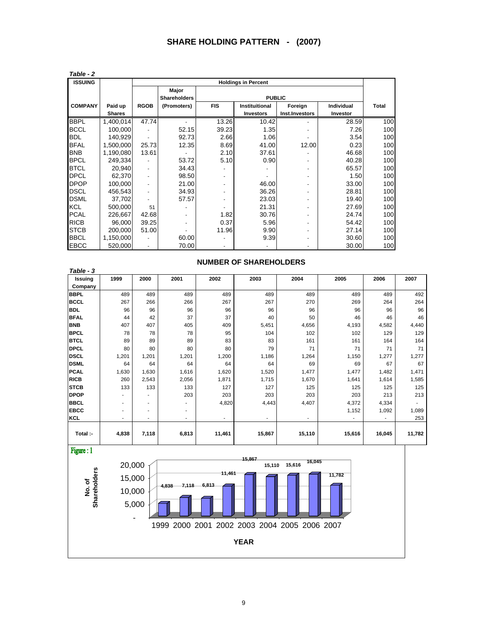| Table - 2      |               |                          |                     |            |                            |                |                   |              |
|----------------|---------------|--------------------------|---------------------|------------|----------------------------|----------------|-------------------|--------------|
| <b>ISSUING</b> |               |                          |                     |            | <b>Holdings in Percent</b> |                |                   |              |
|                |               |                          | Major               |            |                            |                |                   |              |
|                |               |                          | <b>Shareholders</b> |            | <b>PUBLIC</b>              |                |                   |              |
| <b>COMPANY</b> | Paid up       | <b>RGOB</b>              | (Promoters)         | <b>FIS</b> | <b>Instituitional</b>      | Foreign        | <b>Individual</b> | <b>Total</b> |
|                | <b>Shares</b> |                          |                     |            | <b>Investors</b>           | Inst.Investors | Investor          |              |
| <b>BBPL</b>    | 1,400,014     | 47.74                    |                     | 13.26      | 10.42                      |                | 28.59             | 100          |
| <b>BCCL</b>    | 100,000       |                          | 52.15               | 39.23      | 1.35                       |                | 7.26              | 100          |
| <b>BDL</b>     | 140.929       | ٠                        | 92.73               | 2.66       | 1.06                       |                | 3.54              | 100          |
| <b>BFAL</b>    | 1,500,000     | 25.73                    | 12.35               | 8.69       | 41.00                      | 12.00          | 0.23              | 100          |
| <b>BNB</b>     | 1,190,080     | 13.61                    |                     | 2.10       | 37.61                      |                | 46.68             | 100          |
| <b>BPCL</b>    | 249.334       |                          | 53.72               | 5.10       | 0.90                       |                | 40.28             | 100          |
| <b>BTCL</b>    | 20.940        | $\overline{\phantom{a}}$ | 34.43               |            |                            |                | 65.57             | 100          |
| <b>DPCL</b>    | 62,370        | $\overline{\phantom{a}}$ | 98.50               |            |                            |                | 1.50              | 100          |
| <b>DPOP</b>    | 100,000       | $\overline{\phantom{a}}$ | 21.00               |            | 46.00                      |                | 33.00             | 100          |
| <b>DSCL</b>    | 456,543       | $\overline{\phantom{a}}$ | 34.93               |            | 36.26                      |                | 28.81             | 100          |
| <b>DSML</b>    | 37,702        | $\overline{\phantom{a}}$ | 57.57               |            | 23.03                      |                | 19.40             | 100          |
| <b>KCL</b>     | 500,000       | 51                       |                     |            | 21.31                      |                | 27.69             | 100          |
| <b>PCAL</b>    | 226,667       | 42.68                    |                     | 1.82       | 30.76                      |                | 24.74             | 100          |
| <b>RICB</b>    | 96,000        | 39.25                    |                     | 0.37       | 5.96                       |                | 54.42             | 100          |
| <b>STCB</b>    | 200,000       | 51.00                    |                     | 11.96      | 9.90                       |                | 27.14             | 100          |
| <b>BBCL</b>    | 1,150,000     |                          | 60.00               |            | 9.39                       |                | 30.60             | 100          |
| <b>EBCC</b>    | 520,000       | $\overline{\phantom{a}}$ | 70.00               |            |                            |                | 30.00             | 100          |

| Issuing     | 1999  | 2000                     | 2001  | 2002                     | 2003           | 2004           | 2005                     | 2006   | 2007   |
|-------------|-------|--------------------------|-------|--------------------------|----------------|----------------|--------------------------|--------|--------|
| Company     |       |                          |       |                          |                |                |                          |        |        |
| <b>BBPL</b> | 489   | 489                      | 489   | 489                      | 489            | 489            | 489                      | 489    | 492    |
| <b>BCCL</b> | 267   | 266                      | 266   | 267                      | 267            | 270            | 269                      | 264    | 264    |
| <b>BDL</b>  | 96    | 96                       | 96    | 96                       | 96             | 96             | 96                       | 96     | 96     |
| <b>BFAL</b> | 44    | 42                       | 37    | 37                       | 40             | 50             | 46                       | 46     | 46     |
| <b>BNB</b>  | 407   | 407                      | 405   | 409                      | 5,451          | 4,656          | 4,193                    | 4,582  | 4,440  |
| <b>BPCL</b> | 78    | 78                       | 78    | 95                       | 104            | 102            | 102                      | 129    | 129    |
| <b>BTCL</b> | 89    | 89                       | 89    | 83                       | 83             | 161            | 161                      | 164    | 164    |
| <b>DPCL</b> | 80    | 80                       | 80    | 80                       | 79             | 71             | 71                       | 71     | 71     |
| <b>DSCL</b> | 1,201 | 1,201                    | 1,201 | 1,200                    | 1,186          | 1,264          | 1,150                    | 1,277  | 1,277  |
| <b>DSML</b> | 64    | 64                       | 64    | 64                       | 64             | 69             | 69                       | 67     | 67     |
| <b>PCAL</b> | 1,630 | 1,630                    | 1,616 | 1,620                    | 1,520          | 1,477          | 1,477                    | 1,482  | 1,471  |
| <b>RICB</b> | 260   | 2,543                    | 2,056 | 1,871                    | 1,715          | 1,670          | 1,641                    | 1,614  | 1,585  |
| <b>STCB</b> | 133   | 133                      | 133   | 127                      | 127            | 125            | 125                      | 125    | 125    |
| <b>DPOP</b> |       |                          | 203   | 203                      | 203            | 203            | 203                      | 213    | 213    |
| <b>BBCL</b> | ٠     |                          |       | 4,820                    | 4,443          | 4,407          | 4,372                    | 4,334  | ٠      |
| <b>EBCC</b> | ٠     | ٠                        | ۰.    |                          |                |                | 1,152                    | 1,092  | 1,089  |
| <b>KCL</b>  | ٠     | $\overline{\phantom{a}}$ | ۰.    | $\overline{\phantom{a}}$ | $\blacksquare$ | $\blacksquare$ | $\overline{\phantom{a}}$ | ٠      | 253    |
| Total :-    | 4,838 | 7,118                    |       | 11,461                   | 15,867         |                | 15,616                   | 16,045 | 11,782 |
|             |       |                          | 6,813 |                          |                |                | 15,110                   |        |        |
| Figure: 1   |       |                          |       |                          | 15,867         | 16.045         |                          |        |        |

#### **NUMBER OF SHAREHOLDERS**

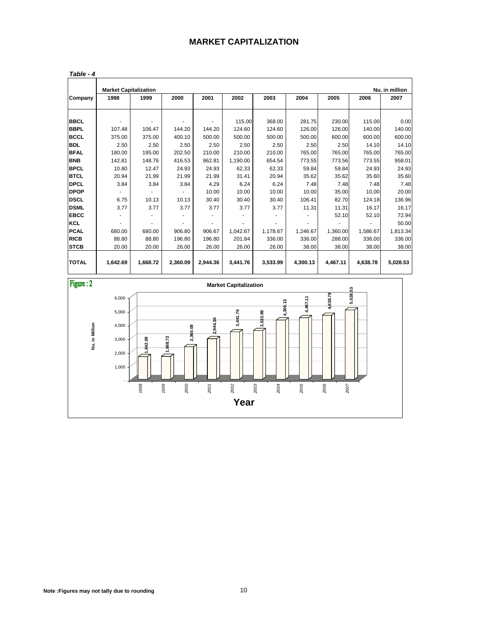#### **MARKET CAPITALIZATION**

|              |          | <b>Market Capitalization</b><br>Nu. in million |          |          |          |                  |          |                  |                  |                |  |  |  |  |
|--------------|----------|------------------------------------------------|----------|----------|----------|------------------|----------|------------------|------------------|----------------|--|--|--|--|
| Company      | 1998     | 1999                                           | 2000     | 2001     | 2002     | 2003             | 2004     | 2005             | 2006             | 2007           |  |  |  |  |
| <b>BBCL</b>  |          |                                                |          |          | 115.00   |                  | 281.75   |                  |                  |                |  |  |  |  |
| <b>BBPL</b>  | 107.48   | 106.47                                         | 144.20   | 144.20   | 124.60   | 368.00<br>124.60 | 126.00   | 230.00<br>126.00 | 115.00<br>140.00 | 0.00<br>140.00 |  |  |  |  |
| <b>BCCL</b>  | 375.00   | 375.00                                         | 400.10   | 500.00   | 500.00   | 500.00           | 500.00   | 600.00           | 600.00           | 600.00         |  |  |  |  |
| <b>BDL</b>   | 2.50     | 2.50                                           | 2.50     | 2.50     | 2.50     | 2.50             |          | 2.50             | 14.10            |                |  |  |  |  |
| <b>BFAL</b>  |          |                                                |          |          |          |                  | 2.50     |                  |                  | 14.10          |  |  |  |  |
|              | 180.00   | 195.00                                         | 202.50   | 210.00   | 210.00   | 210.00           | 765.00   | 765.00           | 765.00           | 765.00         |  |  |  |  |
| <b>BNB</b>   | 142.81   | 148.76                                         | 416.53   | 862.81   | 1.190.00 | 654.54           | 773.55   | 773.56           | 773.55           | 958.01         |  |  |  |  |
| <b>BPCL</b>  | 10.80    | 12.47                                          | 24.93    | 24.93    | 62.33    | 62.33            | 59.84    | 59.84            | 24.93            | 24.93          |  |  |  |  |
| <b>BTCL</b>  | 20.94    | 21.99                                          | 21.99    | 21.99    | 31.41    | 20.94            | 35.62    | 35.62            | 35.60            | 35.60          |  |  |  |  |
| <b>DPCL</b>  | 3.84     | 3.84                                           | 3.84     | 4.29     | 6.24     | 6.24             | 7.48     | 7.48             | 7.48             | 7.48           |  |  |  |  |
| <b>DPOP</b>  |          |                                                |          | 10.00    | 10.00    | 10.00            | 10.00    | 35.00            | 10.00            | 20.00          |  |  |  |  |
| <b>DSCL</b>  | 6.75     | 10.13                                          | 10.13    | 30.40    | 30.40    | 30.40            | 106.41   | 82.70            | 124.18           | 136.96         |  |  |  |  |
| <b>DSML</b>  | 3.77     | 3.77                                           | 3.77     | 3.77     | 3.77     | 3.77             | 11.31    | 11.31            | 16.17            | 16.17          |  |  |  |  |
| <b>EBCC</b>  |          |                                                |          |          |          |                  |          | 52.10            | 52.10            | 72.94          |  |  |  |  |
| <b>KCL</b>   |          |                                                |          |          |          |                  |          |                  |                  | 50.00          |  |  |  |  |
| <b>PCAL</b>  | 680.00   | 680.00                                         | 906.80   | 906.67   | 1,042.67 | 1,178.67         | 1,246.67 | 1,360.00         | 1,586.67         | 1,813.34       |  |  |  |  |
| <b>RICB</b>  | 88.80    | 88.80                                          | 196.80   | 196.80   | 201.84   | 336.00           | 336.00   | 288.00           | 336.00           | 336.00         |  |  |  |  |
| <b>STCB</b>  | 20.00    | 20.00                                          | 26.00    | 26.00    | 26.00    | 26.00            | 38.00    | 38.00            | 38.00            | 38.00          |  |  |  |  |
|              |          |                                                |          |          |          |                  |          |                  |                  |                |  |  |  |  |
| <b>TOTAL</b> | 1,642.69 | 1,668.72                                       | 2,360.09 | 2,944.36 | 3,441.76 | 3,533.99         | 4,300.13 | 4,467.11         | 4,638.78         | 5,028.53       |  |  |  |  |

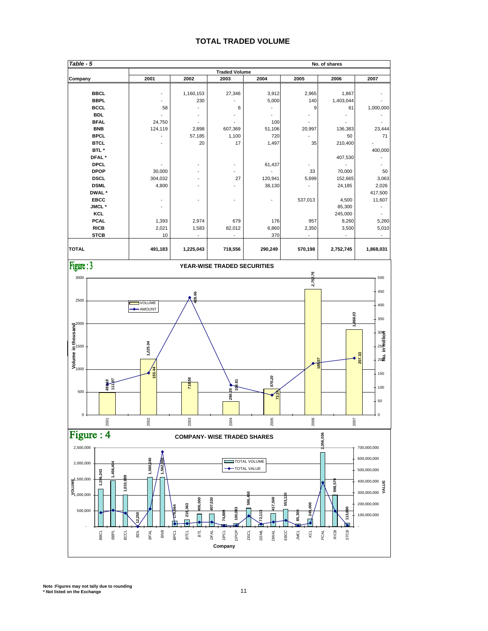#### **TOTAL TRADED VOLUME**



**Note :Figures may not tally due to rounding \* Not listed on the Exchange** 11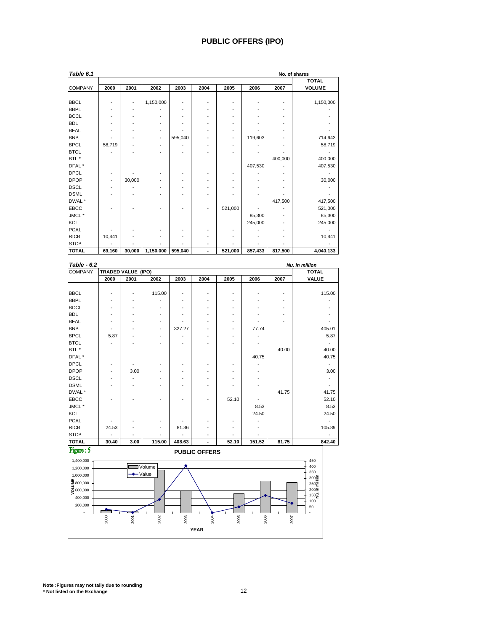#### **PUBLIC OFFERS (IPO)**

| Table 6.1      |                          |        |           |         |      |         |         |         | No. of shares |
|----------------|--------------------------|--------|-----------|---------|------|---------|---------|---------|---------------|
|                |                          |        |           |         |      |         |         |         | <b>TOTAL</b>  |
| <b>COMPANY</b> | 2000                     | 2001   | 2002      | 2003    | 2004 | 2005    | 2006    | 2007    | <b>VOLUME</b> |
|                |                          |        |           |         |      |         |         |         |               |
| <b>BBCL</b>    |                          | -      | 1,150,000 |         |      |         |         |         | 1,150,000     |
| <b>BBPL</b>    |                          |        |           |         |      |         |         |         |               |
| <b>BCCL</b>    |                          |        |           |         |      |         |         |         |               |
| <b>BDL</b>     |                          |        |           |         |      |         |         |         |               |
| <b>BFAL</b>    |                          |        |           |         |      |         |         |         |               |
| <b>BNB</b>     |                          |        |           | 595,040 |      |         | 119,603 |         | 714,643       |
| <b>BPCL</b>    | 58,719                   |        |           |         |      |         |         |         | 58,719        |
| <b>BTCL</b>    |                          |        |           |         |      |         |         |         |               |
| BTL*           |                          |        |           |         |      |         |         | 400,000 | 400,000       |
| DFAL*          |                          |        |           |         |      |         | 407,530 |         | 407,530       |
| <b>DPCL</b>    |                          |        |           |         |      |         |         |         |               |
| <b>DPOP</b>    | $\overline{\phantom{a}}$ | 30,000 |           |         |      |         |         |         | 30,000        |
| <b>DSCL</b>    |                          |        |           |         |      |         |         |         |               |
| <b>DSML</b>    |                          |        |           |         |      |         |         |         |               |
| DWAL *         |                          |        |           |         |      |         |         | 417,500 | 417,500       |
| <b>EBCC</b>    |                          |        |           |         |      | 521,000 |         |         | 521,000       |
| JMCL *         |                          |        |           |         |      |         | 85,300  |         | 85,300        |
| KCL            |                          |        |           |         |      |         | 245,000 |         | 245,000       |
| <b>PCAL</b>    |                          |        |           |         |      |         |         |         |               |
| <b>RICB</b>    | 10,441                   |        |           |         |      |         |         |         | 10,441        |
| <b>STCB</b>    |                          |        |           |         | ٠    |         |         |         |               |
| <b>TOTAL</b>   | 69,160                   | 30,000 | 1,150,000 | 595,040 | ٠    | 521,000 | 857,433 | 817,500 | 4,040,133     |

| Table - 6.2                                                     |       |                    |           |        |                      |       |        |       | Nu. in million             |
|-----------------------------------------------------------------|-------|--------------------|-----------|--------|----------------------|-------|--------|-------|----------------------------|
| <b>COMPANY</b>                                                  |       | TRADED VALUE (IPO) |           |        |                      |       |        |       | <b>TOTAL</b>               |
|                                                                 | 2000  | 2001               | 2002      | 2003   | 2004                 | 2005  | 2006   | 2007  | VALUE                      |
|                                                                 |       |                    |           |        |                      |       |        |       |                            |
| <b>BBCL</b><br><b>BBPL</b>                                      |       |                    | 115.00    |        |                      |       |        |       | 115.00                     |
| <b>BCCL</b>                                                     |       |                    |           |        |                      |       |        |       |                            |
| <b>BDL</b>                                                      |       |                    |           |        |                      |       |        |       |                            |
| <b>BFAL</b>                                                     |       |                    |           |        |                      |       |        |       |                            |
|                                                                 |       |                    |           |        |                      |       |        |       |                            |
| <b>BNB</b>                                                      |       |                    | ٠         | 327.27 |                      |       | 77.74  |       | 405.01                     |
| <b>BPCL</b>                                                     | 5.87  |                    |           |        |                      |       |        |       | 5.87                       |
| <b>BTCL</b>                                                     |       |                    |           |        |                      |       |        |       |                            |
| BTL*                                                            |       |                    |           |        |                      |       |        | 40.00 | 40.00                      |
| DFAL*                                                           |       |                    |           |        |                      |       | 40.75  |       | 40.75                      |
| <b>DPCL</b>                                                     |       |                    |           |        |                      |       |        |       | $\blacksquare$             |
| <b>DPOP</b>                                                     |       | 3.00               |           |        |                      |       |        |       | 3.00                       |
| <b>DSCL</b>                                                     |       |                    |           |        |                      |       |        |       |                            |
| <b>DSML</b>                                                     |       |                    |           |        |                      |       |        |       |                            |
| DWAL*                                                           |       |                    |           |        |                      |       |        | 41.75 | 41.75                      |
| <b>EBCC</b>                                                     |       |                    |           |        |                      | 52.10 |        |       | 52.10                      |
| JMCL *                                                          |       |                    |           |        |                      |       | 8.53   |       | 8.53                       |
| KCL                                                             |       |                    |           |        |                      |       | 24.50  |       | 24.50                      |
| <b>PCAL</b>                                                     |       |                    |           |        |                      |       |        |       |                            |
| <b>RICB</b>                                                     | 24.53 |                    |           | 81.36  |                      |       |        |       | 105.89                     |
| <b>STCB</b>                                                     |       |                    |           |        |                      |       |        |       | $\blacksquare$             |
| <b>TOTAL</b>                                                    | 30.40 | 3.00               | 115.00    | 408.63 |                      | 52.10 | 151.52 | 81.75 | 842.40                     |
| Figure: 5                                                       |       |                    |           |        | <b>PUBLIC OFFERS</b> |       |        |       |                            |
| 1,400,000                                                       |       |                    |           |        |                      |       |        |       | 450                        |
| 1,200,000                                                       |       |                    | ■Volume   |        |                      |       |        |       | 400                        |
| 1,000,000                                                       |       |                    | $-$ Value |        |                      |       |        |       | 350                        |
|                                                                 |       |                    |           |        |                      |       |        |       | $300\frac{5}{9}$           |
| $\begin{array}{c}\n\Xi_{800,000} \\ \Xi_{000,000}\n\end{array}$ |       |                    |           |        |                      |       |        |       | $250\overline{2}$<br>200.5 |
|                                                                 |       |                    |           |        |                      |       |        |       | 150를                       |
| 400,000                                                         |       |                    |           |        |                      |       |        |       | 100                        |
| 200,000                                                         |       |                    |           |        |                      |       |        |       | 50                         |
|                                                                 | 2000  | 2001               | 2002      | 2003   | 2004                 | 2005  | 2006   | 2007  |                            |
|                                                                 |       |                    |           |        |                      |       |        |       |                            |
|                                                                 |       |                    |           |        | <b>YEAR</b>          |       |        |       |                            |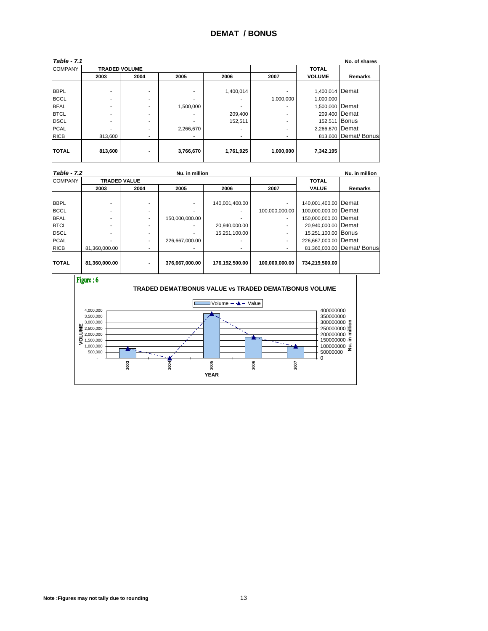| <b>Table - 7.1</b> |                      |                          |           |           |           |                 | No. of shares        |
|--------------------|----------------------|--------------------------|-----------|-----------|-----------|-----------------|----------------------|
| <b>COMPANY</b>     | <b>TRADED VOLUME</b> |                          |           |           |           | <b>TOTAL</b>    |                      |
|                    | 2003                 | 2004                     | 2005      | 2006      | 2007      | <b>VOLUME</b>   | Remarks              |
|                    |                      |                          |           |           |           |                 |                      |
| <b>BBPL</b>        |                      | ۰                        |           | 1,400,014 |           | 1,400,014 Demat |                      |
| <b>BCCL</b>        |                      | $\overline{\phantom{a}}$ | -         | ۰         | 1,000,000 | 1,000,000       |                      |
| <b>BFAL</b>        |                      | $\overline{\phantom{a}}$ | 1,500,000 |           |           | 1,500,000 Demat |                      |
| <b>BTCL</b>        |                      | ٠                        |           | 209,400   | ۰         | 209,400 Demat   |                      |
| <b>DSCL</b>        |                      | $\overline{\phantom{a}}$ |           | 152,511   | ۰         | 152,511 Bonus   |                      |
| <b>PCAL</b>        |                      | ٠                        | 2,266,670 | ۰         | ۰         | 2,266,670 Demat |                      |
| <b>RICB</b>        | 813,600              | $\overline{\phantom{a}}$ |           | ۰         |           |                 | 813,600 Demat/ Bonus |
|                    |                      |                          |           |           |           |                 |                      |
| <b>TOTAL</b>       | 813,600              | $\blacksquare$           | 3,766,670 | 1,761,925 | 1,000,000 | 7,342,195       |                      |
|                    |                      |                          |           |           |           |                 |                      |

| <b>Table - 7.2</b> |               |                     | Nu. in million |                | Nu. in million           |                      |                            |
|--------------------|---------------|---------------------|----------------|----------------|--------------------------|----------------------|----------------------------|
| <b>COMPANY</b>     |               | <b>TRADED VALUE</b> |                |                |                          | <b>TOTAL</b>         |                            |
|                    | 2003          | 2004                | 2005           | 2006           | 2007                     | <b>VALUE</b>         | Remarks                    |
|                    |               |                     |                |                |                          |                      |                            |
| <b>BBPL</b>        |               |                     |                | 140.001.400.00 |                          | 140.001.400.00 Demat |                            |
| <b>BCCL</b>        |               |                     |                |                | 100.000.000.00           | 100,000,000.00 Demat |                            |
| <b>BFAL</b>        |               |                     | 150,000,000.00 |                | ۰                        | 150,000,000.00 Demat |                            |
| <b>BTCL</b>        |               |                     |                | 20.940.000.00  | $\overline{\phantom{a}}$ | 20,940,000.00 Demat  |                            |
| <b>DSCL</b>        |               |                     |                | 15.251.100.00  |                          | 15,251,100.00 Bonus  |                            |
| <b>PCAL</b>        |               |                     | 226.667.000.00 |                | $\overline{\phantom{a}}$ | 226,667,000.00 Demat |                            |
| <b>RICB</b>        | 81.360.000.00 | ٠                   |                |                | $\overline{\phantom{a}}$ |                      | 81,360,000.00 Demat/ Bonus |
| <b>TOTAL</b>       | 81,360,000.00 |                     | 376,667,000.00 | 176,192,500.00 | 100.000.000.00           | 734,219,500.00       |                            |

Figure: 6



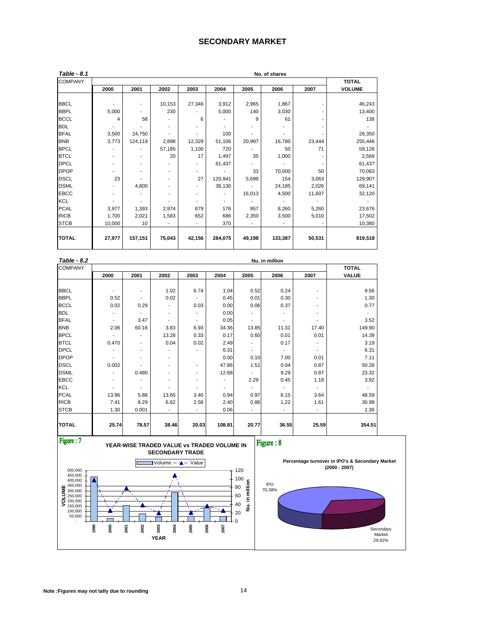#### **SECONDARY MARKET**

| Table - 8.1    |                |         |                          |        |         |        | No. of shares |        |               |
|----------------|----------------|---------|--------------------------|--------|---------|--------|---------------|--------|---------------|
| <b>COMPANY</b> |                |         |                          |        |         |        |               |        | <b>TOTAL</b>  |
|                | 2000           | 2001    | 2002                     | 2003   | 2004    | 2005   | 2006          | 2007   | <b>VOLUME</b> |
|                |                |         |                          |        |         |        |               |        |               |
| <b>BBCL</b>    |                | ٠       | 10,153                   | 27,346 | 3,912   | 2,965  | 1,867         |        | 46,243        |
| <b>BBPL</b>    | 5,000          | ٠       | 230                      |        | 5,000   | 140    | 3,030         |        | 13,400        |
| <b>BCCL</b>    | 4              | 58      |                          | 6      |         | 9      | 61            |        | 138           |
| <b>BDL</b>     |                |         |                          |        |         |        |               |        |               |
| <b>BFAL</b>    | 3,500          | 24,750  | ٠                        |        | 100     |        |               |        | 28,350        |
| <b>BNB</b>     | 3,773          | 124,119 | 2,898                    | 12,329 | 51,106  | 20,997 | 16,780        | 23,444 | 255,446       |
| <b>BPCL</b>    |                |         | 57,185                   | 1,100  | 720     |        | 50            | 71     | 59,126        |
| <b>BTCL</b>    | $\blacksquare$ | ٠       | 20                       | 17     | 1,497   | 35     | 1,000         |        | 2,569         |
| <b>DPCL</b>    |                | ٠       |                          |        | 61,437  |        |               |        | 61,437        |
| <b>DPOP</b>    |                | ٠       |                          |        |         | 33     | 70,000        | 50     | 70,083        |
| <b>DSCL</b>    | 23             |         | ٠                        | 27     | 120,941 | 5,699  | 154           | 3,063  | 129,907       |
| <b>DSML</b>    |                | 4,800   | $\overline{\phantom{a}}$ |        | 38,130  |        | 24,185        | 2,026  | 69,141        |
| <b>EBCC</b>    | $\overline{a}$ |         | ۰                        |        |         | 16,013 | 4,500         | 11,607 | 32,120        |
| <b>KCL</b>     |                |         |                          |        |         |        |               |        |               |
| <b>PCAL</b>    | 3,977          | 1,393   | 2,974                    | 679    | 176     | 957    | 8,260         | 5,260  | 23,676        |
| <b>RICB</b>    | 1,700          | 2,021   | 1,583                    | 652    | 686     | 2,350  | 3,500         | 5,010  | 17,502        |
| <b>STCB</b>    | 10,000         | 10      | ٠                        |        | 370     |        |               |        | 10,380        |
| <b>TOTAL</b>   | 27,977         | 157,151 | 75,043                   | 42,156 | 284,075 | 49,198 | 133,387       | 50,531 | 819,518       |
|                |                |         |                          |        |         |        |               |        |               |

| Table - 8.2    | Nu. in million |                          |                          |                          |                          |       |                          |                              |              |  |
|----------------|----------------|--------------------------|--------------------------|--------------------------|--------------------------|-------|--------------------------|------------------------------|--------------|--|
| <b>COMPANY</b> |                |                          | <b>TOTAL</b>             |                          |                          |       |                          |                              |              |  |
|                | 2000           | 2001                     | 2002                     | 2003                     | 2004                     | 2005  | 2006                     | 2007                         | <b>VALUE</b> |  |
|                |                |                          |                          |                          |                          |       |                          |                              |              |  |
| <b>BBCL</b>    | ۰              | ٠                        | 1.02                     | 6.74                     | 1.04                     | 0.52  | 0.24                     | ٠                            | 9.56         |  |
| <b>BBPL</b>    | 0.52           | ٠                        | 0.02                     | $\overline{\phantom{a}}$ | 0.45                     | 0.01  | 0.30                     | $\qquad \qquad \blacksquare$ | 1.30         |  |
| <b>BCCL</b>    | 0.02           | 0.29                     | ۰                        | 0.03                     | 0.00                     | 0.06  | 0.37                     | ٠                            | 0.77         |  |
| <b>BDL</b>     |                |                          | $\overline{\phantom{0}}$ | $\overline{\phantom{a}}$ | 0.00                     |       |                          | ۰                            |              |  |
| <b>BFAL</b>    | ٠              | 3.47                     | $\overline{\phantom{0}}$ | $\overline{\phantom{a}}$ | 0.05                     | ٠     | $\overline{\phantom{a}}$ | $\overline{\phantom{a}}$     | 3.52         |  |
| <b>BNB</b>     | 2.06           | 60.16                    | 3.83                     | 6.93                     | 34.36                    | 13.85 | 11.31                    | 17.40                        | 149.90       |  |
| <b>BPCL</b>    |                | $\overline{\phantom{a}}$ | 13.28                    | 0.33                     | 0.17                     | 0.60  | 0.01                     | 0.01                         | 14.39        |  |
| <b>BTCL</b>    | 0.470          | ٠                        | 0.04                     | 0.02                     | 2.49                     | ٠     | 0.17                     | ٠                            | 3.19         |  |
| <b>DPCL</b>    |                | ٠                        | ۰                        |                          | 6.31                     | ٠     | $\sim$                   | $\overline{\phantom{a}}$     | 6.31         |  |
| <b>DPOP</b>    | $\blacksquare$ | ٠                        | ۰                        |                          | 0.00                     | 0.10  | 7.00                     | 0.01                         | 7.11         |  |
| <b>DSCL</b>    | 0.002          |                          | ۰                        | ٠                        | 47.86                    | 1.51  | 0.04                     | 0.87                         | 50.28        |  |
| <b>DSML</b>    | $\blacksquare$ | 0.480                    | ۰                        | $\overline{\phantom{a}}$ | 12.68                    | ٠     | 9.29                     | 0.87                         | 23.32        |  |
| <b>EBCC</b>    | ٠              |                          | ۰                        | $\overline{\phantom{a}}$ | $\overline{\phantom{a}}$ | 2.29  | 0.45                     | 1.18                         | 3.92         |  |
| <b>KCL</b>     | ۰              | ٠                        | ۰                        | $\overline{\phantom{a}}$ | $\overline{\phantom{a}}$ | ٠     | $\blacksquare$           | ٠                            |              |  |
| <b>PCAL</b>    | 13.96          | 5.88                     | 13.65                    | 3.40                     | 0.94                     | 0.97  | 6.15                     | 3.64                         | 48.59        |  |
| <b>RICB</b>    | 7.41           | 8.29                     | 6.62                     | 2.58                     | 2.40                     | 0.86  | 1.22                     | 1.61                         | 30.99        |  |
| <b>STCB</b>    | 1.30           | 0.001                    | $\overline{\phantom{0}}$ | $\blacksquare$           | 0.06                     | ٠     | $\overline{\phantom{a}}$ | $\overline{\phantom{a}}$     | 1.36         |  |
|                |                |                          |                          |                          |                          |       |                          |                              |              |  |
| <b>TOTAL</b>   | 25.74          | 78.57                    | 38.46                    | 20.03                    | 108.81                   | 20.77 | 36.55                    | 25.59                        | 354.51       |  |

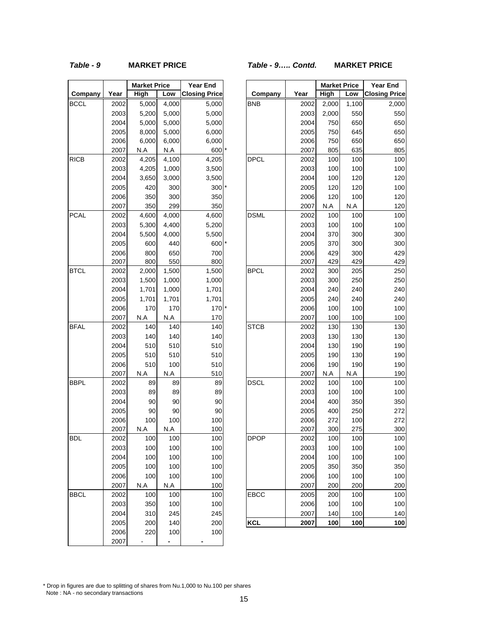#### *Table - 9* **MARKET PRICE** *Table - 9….. Contd.* **MARKET PRICE**

 $\overline{\phantom{0}}$ 

h

|             |              | <b>Market Price</b> |            | <b>Year End</b>      |
|-------------|--------------|---------------------|------------|----------------------|
| Company     | Year         | High                | Low        | <b>Closing Price</b> |
| <b>BCCL</b> | 2002         | 5,000               | 4,000      | 5,000                |
|             | 2003         | 5,200               | 5,000      | 5,000                |
|             | 2004         | 5,000               | 5,000      | 5,000                |
|             | 2005         | 8,000               | 5,000      | 6,000                |
|             | 2006         | 6,000               | 6,000      | 6,000                |
|             | 2007         | N.A                 | N.A        | 600                  |
| <b>RICB</b> | 2002         | 4,205               | 4,100      | 4,205                |
|             | 2003         | 4,205               | 1,000      | 3,500                |
|             | 2004         | 3,650               | 3,000      | 3,500                |
|             | 2005         | 420                 | 300        | 300                  |
|             | 2006         | 350                 | 300        | 350                  |
|             | 2007         | 350                 | 299        | 350                  |
| <b>PCAL</b> | 2002         | 4,600               | 4,000      | 4,600                |
|             | 2003         | 5,300               | 4,400      | 5,200                |
|             | 2004         | 5,500               | 4,000      | 5,500                |
|             | 2005         | 600                 | 440        | 600                  |
|             | 2006         | 800                 | 650        | 700                  |
|             | 2007         | 800                 | 550        | 800                  |
| <b>BTCL</b> | 2002         | 2,000               | 1,500      | 1,500                |
|             | 2003         | 1,500               | 1,000      | 1,000                |
|             | 2004         | 1,701               | 1,000      | 1,701                |
|             | 2005         | 1,701               | 1,701      | 1,701                |
|             | 2006         | 170                 | 170        | 170                  |
|             | 2007         | N.A                 | N.A        | 170                  |
| <b>BFAL</b> | 2002         | 140                 | 140        | 140                  |
|             | 2003         | 140                 | 140        | 140                  |
|             | 2004         | 510                 | 510        | 510                  |
|             | 2005         | 510                 | 510        | 510                  |
|             | 2006         | 510<br>N.A          | 100<br>N.A | 510                  |
| <b>BBPL</b> | 2007<br>2002 | 89                  | 89         | 510<br>89            |
|             | 2003         | 89                  | 89         | 89                   |
|             | 2004         | 90                  | 90         | 90                   |
|             | 2005         | 90                  | 90         | 90                   |
|             | 2006         | 100                 | 100        | 100                  |
|             | 2007         | N.A                 | N.A        | 100                  |
| BDL         | 2002         | 100                 | 100        | 100                  |
|             | 2003         | 100                 | 100        | 100                  |
|             | 2004         | 100                 | 100        | 100                  |
|             | 2005         | 100                 | 100        | 100                  |
|             | 2006         | 100                 | 100        | 100                  |
|             | 2007         | N.A                 | N.A        | 100                  |
| <b>BBCL</b> | 2002         | 100                 | 100        | 100                  |
|             | 2003         | 350                 | 100        | 100                  |
|             | 2004         | 310                 | 245        | 245                  |
|             | 2005         | 200                 | 140        | 200                  |
|             | 2006         | 220                 | 100        | 100                  |
|             | 2007         |                     |            |                      |
|             |              |                     |            |                      |

|             |              | <b>Market Price</b> |            | <b>Year End</b>      |             |              | <b>Market Price</b> |            | <b>Year End</b>      |
|-------------|--------------|---------------------|------------|----------------------|-------------|--------------|---------------------|------------|----------------------|
| Company     | Year         | High                | Low        | <b>Closing Price</b> | Company     | Year         | High                | Low        | <b>Closing Price</b> |
| <b>BCCL</b> | 2002         | 5,000               | 4,000      | 5,000                | <b>BNB</b>  | 2002         | 2,000               | 1,100      | 2,000                |
|             | 2003         | 5,200               | 5,000      | 5,000                |             | 2003         | 2,000               | 550        | 550                  |
|             | 2004         | 5,000               | 5,000      | 5,000                |             | 2004         | 750                 | 650        | 650                  |
|             | 2005         | 8,000               | 5,000      | 6,000                |             | 2005         | 750                 | 645        | 650                  |
|             | 2006         | 6,000               | 6,000      | 6,000                |             | 2006         | 750                 | 650        | 650                  |
|             | 2007         | N.A                 | N.A        | 600                  |             | 2007         | 805                 | 635        | 805                  |
| RICB        | 2002         | 4,205               | 4,100      | 4,205                | <b>DPCL</b> | 2002         | 100                 | 100        | 100                  |
|             | 2003         | 4,205               | 1,000      | 3,500                |             | 2003         | 100                 | 100        | 100                  |
|             | 2004         | 3,650               | 3,000      | 3,500                |             | 2004         | 100                 | 120        | 120                  |
|             | 2005         | 420                 | 300        | 300                  |             | 2005         | 120                 | 120        | 100                  |
|             | 2006         | 350                 | 300        | 350                  |             | 2006         | 120                 | 100        | 120                  |
|             | 2007         | 350                 | 299        | 350                  |             | 2007         | N.A                 | N.A        | 120                  |
| PCAL        | 2002         | 4,600               | 4,000      | 4,600                | <b>DSML</b> | 2002         | 100                 | 100        | 100                  |
|             | 2003         | 5,300               | 4,400      | 5,200                |             | 2003         | 100                 | 100        | 100                  |
|             | 2004         | 5,500               | 4,000      | 5,500                |             | 2004         | 370                 | 300        | 300                  |
|             | 2005         | 600                 | 440        | 600                  |             | 2005         | 370                 | 300        | 300                  |
|             | 2006         | 800                 | 650        | 700                  |             | 2006         | 429                 | 300        | 429                  |
|             | 2007         | 800                 | 550        | 800                  |             | 2007         | 429                 | 429        | 429                  |
| <b>BTCL</b> | 2002         | 2,000               | 1,500      | 1,500                | <b>BPCL</b> | 2002         | 300                 | 205        | 250                  |
|             | 2003         | 1,500               | 1,000      | 1,000                |             | 2003         | 300                 | 250        | 250                  |
|             | 2004         | 1,701               | 1,000      | 1,701                |             | 2004         | 240                 | 240        | 240                  |
|             | 2005         | 1,701               | 1,701      | 1,701                |             | 2005         | 240                 | 240        | 240                  |
|             | 2006         | 170                 | 170        | 170                  |             | 2006         | 100                 | 100        | 100                  |
|             | 2007         | N.A                 | N.A        | 170                  |             | 2007         | 100                 | 100        | 100                  |
| <b>BFAL</b> | 2002         | 140                 | 140        | 140                  | <b>STCB</b> | 2002         | 130                 | 130        | 130                  |
|             | 2003         | 140                 | 140        | 140                  |             | 2003         | 130                 | 130        | 130                  |
|             | 2004         | 510                 | 510        | 510                  |             | 2004         | 130                 | 190        | 190                  |
|             | 2005         | 510                 | 510        | 510                  |             | 2005         | 190                 | 130        | 190                  |
|             | 2006         | 510                 | 100<br>N.A | 510                  |             | 2006         | 190                 | 190<br>N.A | 190                  |
| <b>BBPL</b> | 2007         | N.A<br>89           |            | 510<br>89            | <b>DSCL</b> | 2007         | N.A<br>100          |            | 190<br>100           |
|             | 2002<br>2003 | 89                  | 89<br>89   | 89                   |             | 2002<br>2003 | 100                 | 100<br>100 | 100                  |
|             | 2004         | 90                  | 90         | 90                   |             | 2004         | 400                 | 350        | 350                  |
|             | 2005         | 90                  | 90         | 90                   |             | 2005         | 400                 | 250        | 272                  |
|             | 2006         | 100                 | 100        | 100                  |             | 2006         | 272                 | 100        | 272                  |
|             | 2007         | N.A                 | N.A        | 100                  |             | 2007         | 300                 | 275        | 300                  |
| <b>BDL</b>  | 2002         | 100                 | 100        | 100                  | <b>DPOP</b> | 2002         | 100                 | 100        | 100                  |
|             | 2003         | 100                 | 100        | 100                  |             | 2003         | 100                 | 100        | 100                  |
|             | 2004         | 100                 | 100        | 100                  |             | 2004         | 100                 | 100        | 100                  |
|             | 2005         | 100                 | 100        | 100                  |             | 2005         | 350                 | 350        | 350                  |
|             | 2006         | 100                 | 100        | 100                  |             | 2006         | 100                 | 100        | 100                  |
|             | 2007         | N.A                 | N.A        | 100                  |             | 2007         | 200                 | 200        | 200                  |
| BBCL        | 2002         | 100                 | 100        | 100                  | <b>EBCC</b> | 2005         | 200                 | 100        | 100                  |
|             | 2003         | 350                 | 100        | 100                  |             | 2006         | 100                 | 100        | 100                  |
|             | 2004         | 310                 | 245        | 245                  |             | 2007         | 140                 | 100        | 140                  |
|             | 2005         | 200                 | 140        | 200                  | <b>KCL</b>  | 2007         | 100                 | 100        | 100                  |
|             |              |                     |            |                      |             |              |                     |            |                      |

\* Drop in figures are due to splitting of shares from Nu.1,000 to Nu.100 per shares Note : NA - no secondary transactions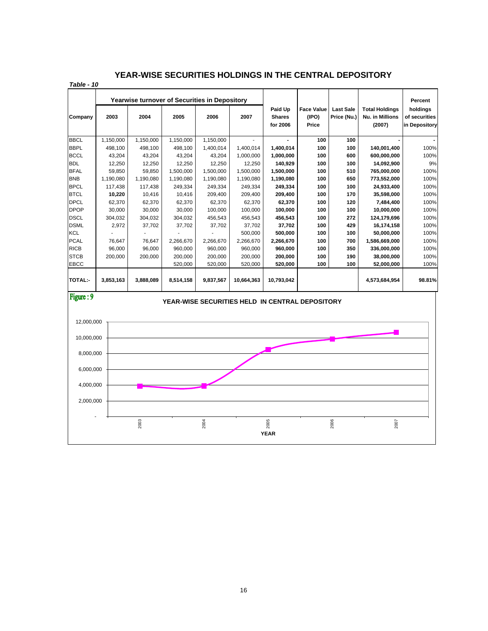#### **YEAR-WISE SECURITIES HOLDINGS IN THE CENTRAL DEPOSITORY**

*Table - 10*

|                                                                     |           |           | <b>Yearwise turnover of Securities in Depository</b> |           |            |                                      |                                     |                                 |                                                    | Percent                                    |
|---------------------------------------------------------------------|-----------|-----------|------------------------------------------------------|-----------|------------|--------------------------------------|-------------------------------------|---------------------------------|----------------------------------------------------|--------------------------------------------|
| Company                                                             | 2003      | 2004      | 2005                                                 | 2006      | 2007       | Paid Up<br><b>Shares</b><br>for 2006 | <b>Face Value</b><br>(IPO)<br>Price | <b>Last Sale</b><br>Price (Nu.) | <b>Total Holdings</b><br>Nu. in Millions<br>(2007) | holdings<br>of securities<br>in Depository |
| <b>BBCL</b>                                                         | 1,150,000 | 1,150,000 | 1,150,000                                            | 1,150,000 |            |                                      | 100                                 | 100                             |                                                    |                                            |
| <b>BBPL</b>                                                         | 498.100   | 498.100   | 498.100                                              | 1,400,014 | 1.400.014  | 1,400,014                            | 100                                 | 100                             | 140,001,400                                        | 100%                                       |
| <b>BCCL</b>                                                         | 43.204    | 43.204    | 43.204                                               | 43.204    | 1,000,000  | 1,000,000                            | 100                                 | 600                             | 600.000.000                                        | 100%                                       |
| <b>BDL</b>                                                          | 12.250    | 12,250    | 12.250                                               | 12,250    | 12.250     | 140.929                              | 100                                 | 100                             | 14,092,900                                         | 9%                                         |
| <b>BFAL</b>                                                         | 59.850    | 59.850    | 1.500.000                                            | 1.500.000 | 1.500.000  | 1.500.000                            | 100                                 | 510                             | 765.000.000                                        | 100%                                       |
| <b>BNB</b>                                                          | 1,190,080 | 1,190,080 | 1,190,080                                            | 1,190,080 | 1,190,080  | 1,190,080                            | 100                                 | 650                             | 773,552,000                                        | 100%                                       |
| <b>BPCL</b>                                                         | 117.438   | 117,438   | 249,334                                              | 249.334   | 249,334    | 249,334                              | 100                                 | 100                             | 24,933,400                                         | 100%                                       |
| <b>BTCL</b>                                                         | 10.220    | 10.416    | 10.416                                               | 209.400   | 209.400    | 209.400                              | 100                                 | 170                             | 35.598.000                                         | 100%                                       |
| <b>DPCL</b>                                                         | 62.370    | 62.370    | 62.370                                               | 62.370    | 62.370     | 62.370                               | 100                                 | 120                             | 7.484.400                                          | 100%                                       |
| <b>DPOP</b>                                                         | 30.000    | 30.000    | 30.000                                               | 100.000   | 100.000    | 100.000                              | 100                                 | 100                             | 10,000,000                                         | 100%                                       |
| <b>DSCL</b>                                                         | 304,032   | 304,032   | 304,032                                              | 456,543   | 456,543    | 456,543                              | 100                                 | 272                             | 124,179,696                                        | 100%                                       |
| <b>DSML</b>                                                         | 2,972     | 37,702    | 37,702                                               | 37,702    | 37.702     | 37.702                               | 100                                 | 429                             | 16,174,158                                         | 100%                                       |
| <b>KCL</b>                                                          |           |           |                                                      |           | 500,000    | 500,000                              | 100                                 | 100                             | 50,000,000                                         | 100%                                       |
| <b>PCAL</b>                                                         | 76,647    | 76,647    | 2,266,670                                            | 2,266,670 | 2,266,670  | 2,266,670                            | 100                                 | 700                             | 1,586,669,000                                      | 100%                                       |
| <b>RICB</b>                                                         | 96.000    | 96.000    | 960.000                                              | 960.000   | 960.000    | 960.000                              | 100                                 | 350                             | 336,000,000                                        | 100%                                       |
| <b>STCB</b>                                                         | 200,000   | 200,000   | 200,000                                              | 200.000   | 200,000    | 200,000                              | 100                                 | 190                             | 38,000,000                                         | 100%                                       |
| <b>EBCC</b>                                                         |           |           | 520,000                                              | 520,000   | 520,000    | 520,000                              | 100                                 | 100                             | 52,000,000                                         | 100%                                       |
| <b>TOTAL:-</b>                                                      | 3,853,163 | 3,888,089 | 8,514,158                                            | 9,837,567 | 10,664,363 | 10,793,042                           |                                     |                                 | 4,573,684,954                                      | 98.81%                                     |
| Figure: 9<br><b>YEAR-WISE SECURITIES HELD IN CENTRAL DEPOSITORY</b> |           |           |                                                      |           |            |                                      |                                     |                                 |                                                    |                                            |

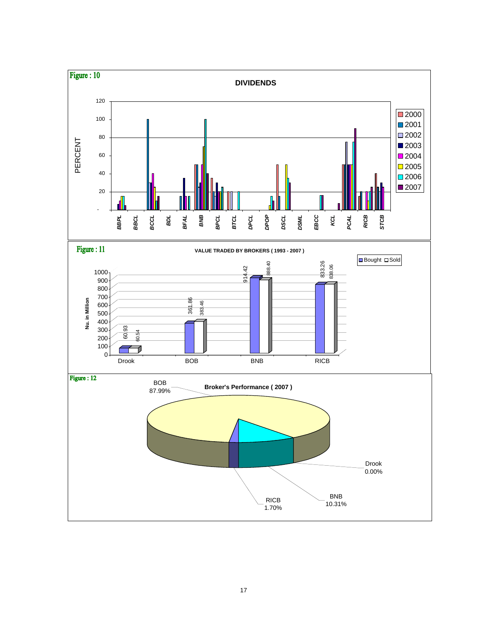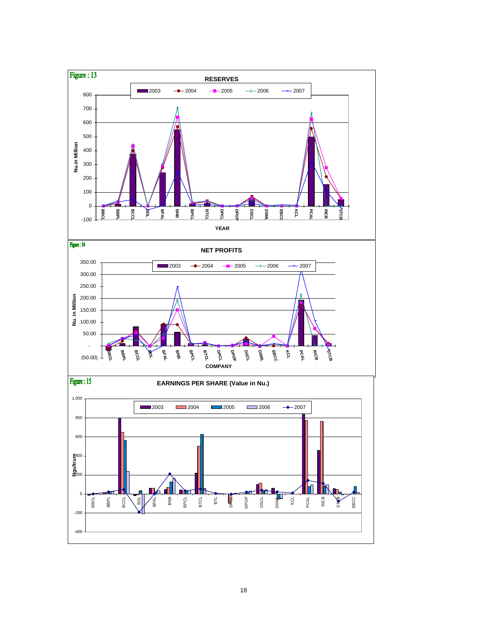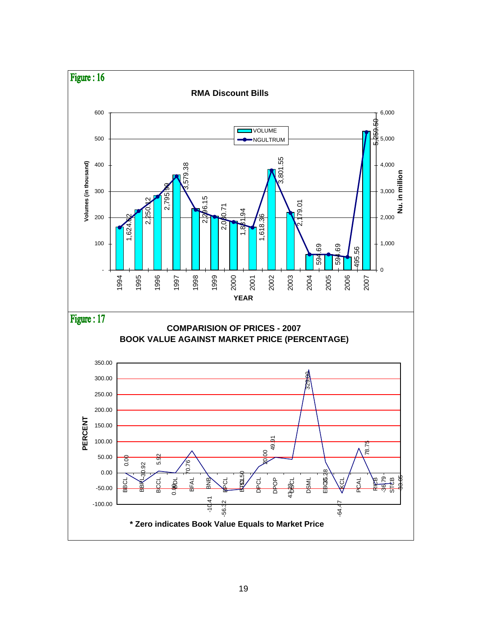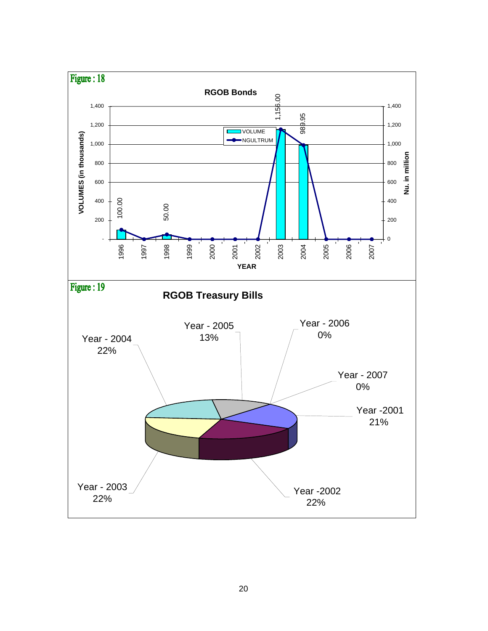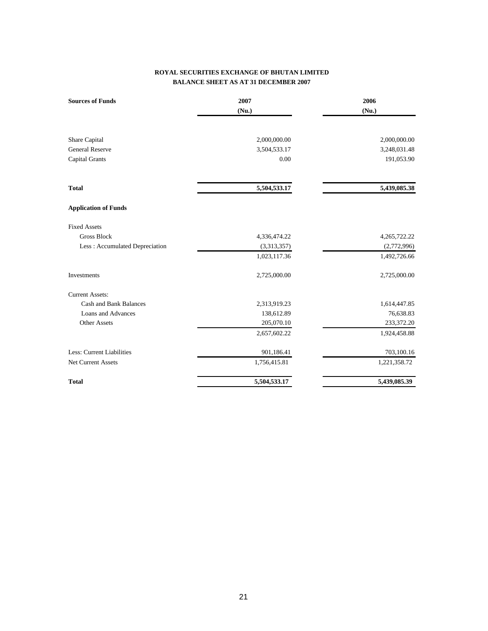#### **ROYAL SECURITIES EXCHANGE OF BHUTAN LIMITED BALANCE SHEET AS AT 31 DECEMBER 2007**

| <b>Sources of Funds</b>        | 2007<br>(Nu.) | 2006<br>(Nu.) |
|--------------------------------|---------------|---------------|
| Share Capital                  | 2,000,000.00  | 2,000,000.00  |
| <b>General Reserve</b>         | 3,504,533.17  | 3,248,031.48  |
| Capital Grants                 | 0.00          | 191,053.90    |
| <b>Total</b>                   | 5,504,533.17  | 5,439,085.38  |
| <b>Application of Funds</b>    |               |               |
| <b>Fixed Assets</b>            |               |               |
| <b>Gross Block</b>             | 4,336,474.22  | 4,265,722.22  |
| Less: Accumulated Depreciation | (3,313,357)   | (2,772,996)   |
|                                | 1,023,117.36  | 1,492,726.66  |
| Investments                    | 2,725,000.00  | 2,725,000.00  |
| <b>Current Assets:</b>         |               |               |
| Cash and Bank Balances         | 2,313,919.23  | 1,614,447.85  |
| Loans and Advances             | 138,612.89    | 76,638.83     |
| <b>Other Assets</b>            | 205,070.10    | 233,372.20    |
|                                | 2,657,602.22  | 1,924,458.88  |
| Less: Current Liabilities      | 901,186.41    | 703,100.16    |
| Net Current Assets             | 1,756,415.81  | 1,221,358.72  |
| <b>Total</b>                   | 5,504,533.17  | 5,439,085.39  |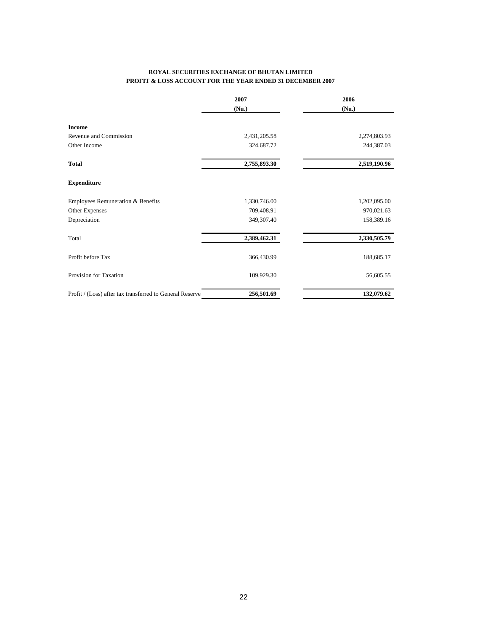#### **ROYAL SECURITIES EXCHANGE OF BHUTAN LIMITED PROFIT & LOSS ACCOUNT FOR THE YEAR ENDED 31 DECEMBER 2007**

|                                                          | 2007         | 2006         |
|----------------------------------------------------------|--------------|--------------|
|                                                          | (Nu.)        | (Nu.)        |
| <b>Income</b>                                            |              |              |
| Revenue and Commission                                   | 2,431,205.58 | 2,274,803.93 |
| Other Income                                             | 324,687.72   | 244,387.03   |
| <b>Total</b>                                             | 2,755,893.30 | 2,519,190.96 |
| <b>Expenditure</b>                                       |              |              |
| Employees Remuneration & Benefits                        | 1,330,746.00 | 1,202,095.00 |
| Other Expenses                                           | 709,408.91   | 970,021.63   |
| Depreciation                                             | 349,307.40   | 158,389.16   |
| Total                                                    | 2,389,462.31 | 2,330,505.79 |
| Profit before Tax                                        | 366,430.99   | 188,685.17   |
| Provision for Taxation                                   | 109,929.30   | 56,605.55    |
| Profit / (Loss) after tax transferred to General Reserve | 256,501.69   | 132,079.62   |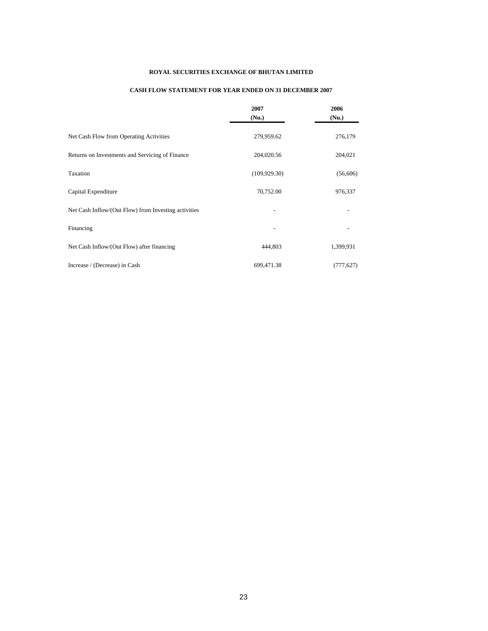#### **ROYAL SECURITIES EXCHANGE OF BHUTAN LIMITED**

#### **CASH FLOW STATEMENT FOR YEAR ENDED ON 31 DECEMBER 2007**

|                                                      | 2007<br>(Nu.)  | 2006<br>(Nu.) |
|------------------------------------------------------|----------------|---------------|
| Net Cash Flow from Operating Activities              | 279,959.62     | 276,179       |
| Returns on Investments and Servicing of Finance      | 204,020.56     | 204,021       |
| Taxation                                             | (109, 929, 30) | (56,606)      |
| Capital Expenditure                                  | 70,752.00      | 976,337       |
| Net Cash Inflow/(Out Flow) from Investing activities |                |               |
| Financing                                            |                |               |
| Net Cash Inflow/(Out Flow) after financing           | 444,803        | 1,399,931     |
| Increase / (Decrease) in Cash                        | 699,471.38     | (777, 627)    |